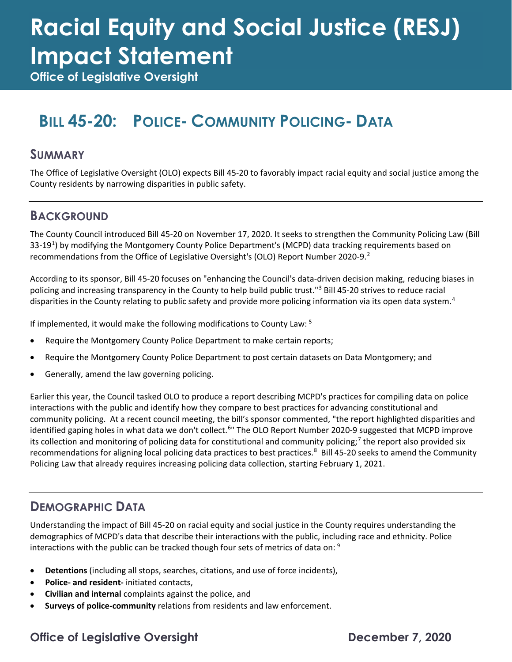# **Racial Equity and Social Justice (RESJ) Impact Statement**

**Office of Legislative Oversight**

## **BILL 45-20: POLICE- COMMUNITY POLICING- DATA**

#### **SUMMARY**

The Office of Legislative Oversight (OLO) expects Bill 45-20 to favorably impact racial equity and social justice among the County residents by narrowing disparities in public safety.

#### **BACKGROUND**

The County Council introduced Bill 45-20 on November 17, 2020. It seeks to strengthen the Community Policing Law (Bill 33-[1](#page-2-0)9<sup>1</sup>) by modifying the Montgomery County Police Department's (MCPD) data tracking requirements based on recommendations from the Office of Legislative Oversight's (OLO) Report Number [2](#page-2-1)020-9.<sup>2</sup>

According to its sponsor, Bill 45-20 focuses on "enhancing the Council's data-driven decision making, reducing biases in policing and increasing transparency in the County to help build public trust."<sup>[3](#page-2-2)</sup> Bill 45-20 strives to reduce racial disparities in the County relating to public safety and provide more policing information via its open data system.<sup>[4](#page-2-3)</sup>

If implemented, it would make the following modifications to County Law: [5](#page-2-4)

- Require the Montgomery County Police Department to make certain reports;
- Require the Montgomery County Police Department to post certain datasets on Data Montgomery; and
- Generally, amend the law governing policing.

Earlier this year, the Council tasked OLO to produce a report describing MCPD's practices for compiling data on police interactions with the public and identify how they compare to best practices for advancing constitutional and community policing. At a recent council meeting, the bill's sponsor commented, "the report highlighted disparities and identified gaping holes in what data we don't collect.<sup>[6](#page-2-5)</sup>" The OLO Report Number 2020-9 suggested that MCPD improve its collection and monitoring of policing data for constitutional and community policing;<sup>[7](#page-2-6)</sup> the report also provided six recommendations for aligning local policing data practices to best practices.<sup>[8](#page-2-7)</sup> Bill 45-20 seeks to amend the Community Policing Law that already requires increasing policing data collection, starting February 1, 2021.

#### **DEMOGRAPHIC DATA**

Understanding the impact of Bill 45-20 on racial equity and social justice in the County requires understanding the demographics of MCPD's data that describe their interactions with the public, including race and ethnicity. Police interactions with the public can be tracked though four sets of metrics of data on: [9](#page-2-8)

- **Detentions** (including all stops, searches, citations, and use of force incidents),
- **Police- and resident-** initiated contacts,
- **Civilian and internal** complaints against the police, and
- **Surveys of police-community** relations from residents and law enforcement.

#### **Office of Legislative Oversight December 7, 2020**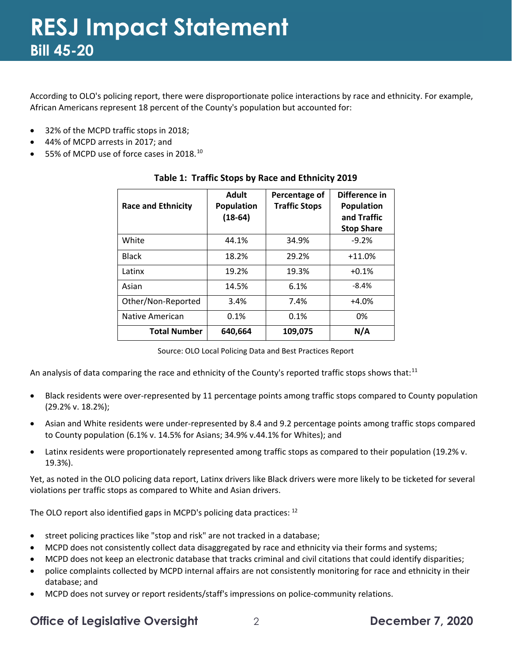According to OLO's policing report, there were disproportionate police interactions by race and ethnicity. For example, African Americans represent 18 percent of the County's population but accounted for:

- 32% of the MCPD traffic stops in 2018;
- 44% of MCPD arrests in 2017; and
- $\bullet$  55% of MCPD use of force cases in 2018.<sup>[10](#page-2-9)</sup>

| <b>Race and Ethnicity</b> | <b>Adult</b><br><b>Population</b><br>$(18-64)$ | Percentage of<br><b>Traffic Stops</b> | Difference in<br><b>Population</b><br>and Traffic<br><b>Stop Share</b> |
|---------------------------|------------------------------------------------|---------------------------------------|------------------------------------------------------------------------|
| White                     | 44.1%                                          | 34.9%                                 | $-9.2%$                                                                |
| <b>Black</b>              | 18.2%                                          | 29.2%                                 | $+11.0%$                                                               |
| Latinx                    | 19.2%                                          | 19.3%                                 | $+0.1%$                                                                |
| Asian                     | 14.5%                                          | 6.1%                                  | $-8.4%$                                                                |
| Other/Non-Reported        | 3.4%                                           | 7.4%                                  | $+4.0%$                                                                |
| Native American           | 0.1%                                           | 0.1%                                  | 0%                                                                     |
| <b>Total Number</b>       | 640,664                                        | 109,075                               | N/A                                                                    |

#### **Table 1: Traffic Stops by Race and Ethnicity 2019**

Source: OLO Local Policing Data and Best Practices Report

An analysis of data comparing the race and ethnicity of the County's reported traffic stops shows that:<sup>[11](#page-2-10)</sup>

- Black residents were over-represented by 11 percentage points among traffic stops compared to County population (29.2% v. 18.2%);
- Asian and White residents were under-represented by 8.4 and 9.2 percentage points among traffic stops compared to County population (6.1% v. 14.5% for Asians; 34.9% v.44.1% for Whites); and
- Latinx residents were proportionately represented among traffic stops as compared to their population (19.2% v. 19.3%).

Yet, as noted in the OLO policing data report, Latinx drivers like Black drivers were more likely to be ticketed for several violations per traffic stops as compared to White and Asian drivers.

The OLO report also identified gaps in MCPD's policing data practices: [12](#page-2-11)

- street policing practices like "stop and risk" are not tracked in a database;
- MCPD does not consistently collect data disaggregated by race and ethnicity via their forms and systems;
- MCPD does not keep an electronic database that tracks criminal and civil citations that could identify disparities;
- police complaints collected by MCPD internal affairs are not consistently monitoring for race and ethnicity in their database; and
- MCPD does not survey or report residents/staff's impressions on police-community relations.

#### **Office of Legislative Oversight** 2 **December 7, 2020**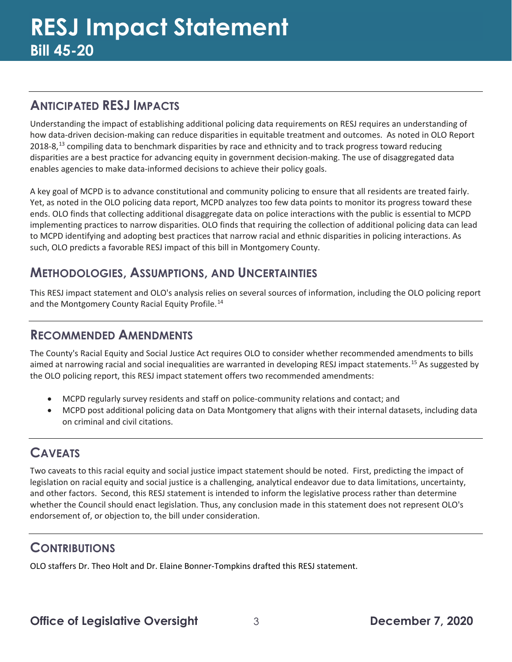### <span id="page-2-0"></span>**ANTICIPATED RESJ IMPACTS**

<span id="page-2-1"></span>Understanding the impact of establishing additional policing data requirements on RESJ requires an understanding of how data-driven decision-making can reduce disparities in equitable treatment and outcomes. As noted in OLO Report 2018-8,<sup>[13](#page-2-12)</sup> compiling data to benchmark disparities by race and ethnicity and to track progress toward reducing disparities are a best practice for advancing equity in government decision-making. The use of disaggregated data enables agencies to make data-informed decisions to achieve their policy goals.

<span id="page-2-6"></span><span id="page-2-5"></span><span id="page-2-4"></span><span id="page-2-3"></span><span id="page-2-2"></span>A key goal of MCPD is to advance constitutional and community policing to ensure that all residents are treated fairly. Yet, as noted in the OLO policing data report, MCPD analyzes too few data points to monitor its progress toward these ends. OLO finds that collecting additional disaggregate data on police interactions with the public is essential to MCPD implementing practices to narrow disparities. OLO finds that requiring the collection of additional policing data can lead to MCPD identifying and adopting best practices that narrow racial and ethnic disparities in policing interactions. As such, OLO predicts a favorable RESJ impact of this bill in Montgomery County.

#### <span id="page-2-7"></span>**METHODOLOGIES, ASSUMPTIONS, AND UNCERTAINTIES**

This RESJ impact statement and OLO's analysis relies on several sources of information, including the OLO policing report and the Montgomery County Racial Equity Profile.<sup>[14](#page-2-13)</sup>

#### <span id="page-2-8"></span>**RECOMMENDED AMENDMENTS**

<span id="page-2-12"></span><span id="page-2-11"></span><span id="page-2-10"></span><span id="page-2-9"></span>The County's Racial Equity and Social Justice Act requires OLO to consider whether recommended amendments to bills aimed at narrowing racial and social inequalities are warranted in developing RESJ impact statements.<sup>[15](#page-2-14)</sup> As suggested by the OLO policing report, this RESJ impact statement offers two recommended amendments:

- MCPD regularly survey residents and staff on police-community relations and contact; and
- <span id="page-2-13"></span>• MCPD post additional policing data on Data Montgomery that aligns with their internal datasets, including data on criminal and civil citations.

### <span id="page-2-14"></span>**CAVEATS**

Two caveats to this racial equity and social justice impact statement should be noted. First, predicting the impact of legislation on racial equity and social justice is a challenging, analytical endeavor due to data limitations, uncertainty, and other factors. Second, this RESJ statement is intended to inform the legislative process rather than determine whether the Council should enact legislation. Thus, any conclusion made in this statement does not represent OLO's endorsement of, or objection to, the bill under consideration.

#### **CONTRIBUTIONS**

OLO staffers Dr. Theo Holt and Dr. Elaine Bonner-Tompkins drafted this RESJ statement.